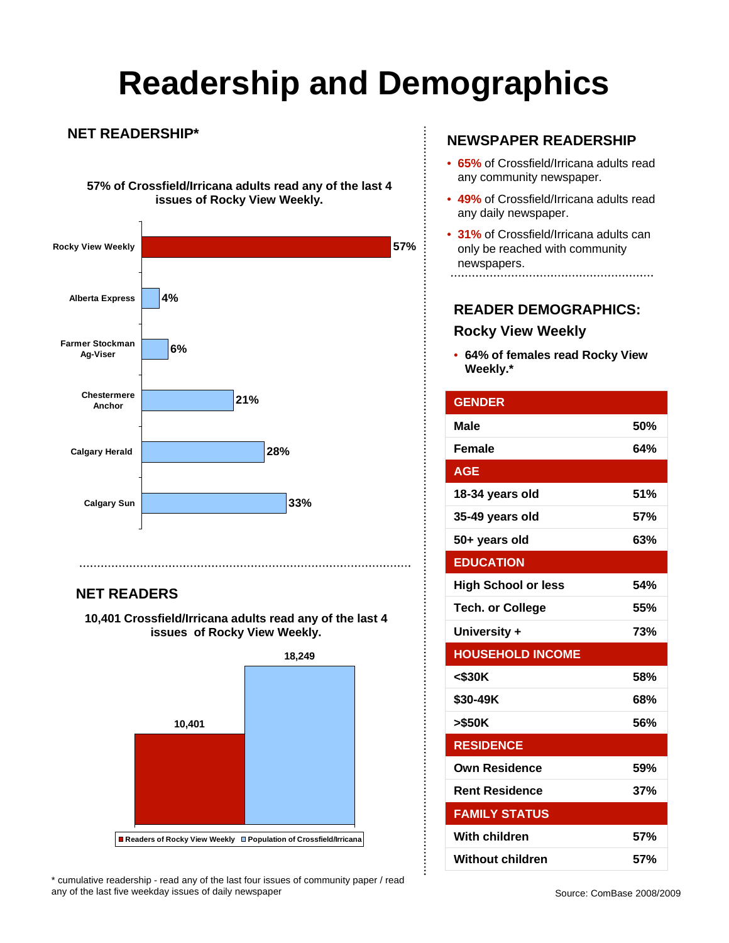# **Readership and Demographics**

### **NET READERSHIP\***

**57% of Crossfield/Irricana adults read any of the last 4 issues of Rocky View Weekly.**



### **NET READERS**

**10,401 Crossfield/Irricana adults read any of the last 4 issues of Rocky View Weekly.** 



\* cumulative readership - read any of the last four issues of community paper / read any of the last five weekday issues of daily newspaper

### **NEWSPAPER READERSHIP**

- **65%** of Crossfield/Irricana adults read any community newspaper.
- **49%** of Crossfield/Irricana adults read any daily newspaper.
- **31%** of Crossfield/Irricana adults can only be reached with community newspapers.

## **READER DEMOGRAPHICS:**

#### **Rocky View Weekly**

• **64% of females read Rocky View Weekly.\***

| <b>GENDER</b>              |     |
|----------------------------|-----|
| Male                       | 50% |
| <b>Female</b>              | 64% |
| <b>AGE</b>                 |     |
| 18-34 years old            | 51% |
| 35-49 years old            | 57% |
| 50+ years old              | 63% |
| <b>EDUCATION</b>           |     |
| <b>High School or less</b> | 54% |
| <b>Tech. or College</b>    | 55% |
| University +               | 73% |
| <b>HOUSEHOLD INCOME</b>    |     |
| <\$30K                     | 58% |
| \$30-49K                   | 68% |
| >\$50K                     | 56% |
| <b>RESIDENCE</b>           |     |
| <b>Own Residence</b>       | 59% |
| <b>Rent Residence</b>      | 37% |
| <b>FAMILY STATUS</b>       |     |
| With children              | 57% |
| <b>Without children</b>    | 57% |

 $\vdots$